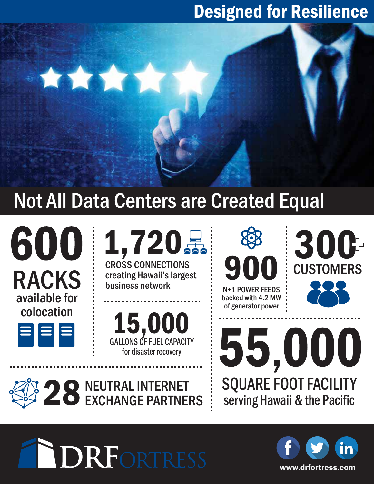## Designed for Resilience

# Not All Data Centers are Created Equal



1,720景

**CROSS CONNECTIONS**<br>creating Hawaii's largest

15,000 GALLONS OF FUEL CAPACITY for disaster recovery

83 91

N+1 POWER FEEDS backed with 4.2 MW of generator power

300 **CUSTOMERS .** 

NEUTRAL INTERNET 28 NEUTRAL INTERNET

**DRFORTRESS** 

\*\*\*\*



SQUARE FOOT FACILITY

55,000

serving Hawaii & the Pacific